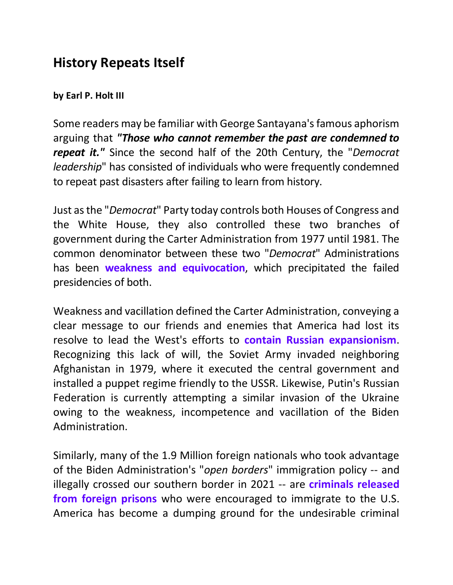## **History Repeats Itself**

## **by Earl P. Holt III**

Some readers may be familiar with George Santayana's famous aphorism arguing that *"Those who cannot remember the past are condemned to repeat it."* Since the second half of the 20th Century, the "*Democrat leadership*" has consisted of individuals who were frequently condemned to repeat past disasters after failing to learn from history.

Just as the "*Democrat*" Party today controls both Houses of Congress and the White House, they also controlled these two branches of government during the Carter Administration from 1977 until 1981. The common denominator between these two "*Democrat*" Administrations has been **weakness and equivocation**, which precipitated the failed presidencies of both.

Weakness and vacillation defined the Carter Administration, conveying a clear message to our friends and enemies that America had lost its resolve to lead the West's efforts to **contain Russian expansionism**. Recognizing this lack of will, the Soviet Army invaded neighboring Afghanistan in 1979, where it executed the central government and installed a puppet regime friendly to the USSR. Likewise, Putin's Russian Federation is currently attempting a similar invasion of the Ukraine owing to the weakness, incompetence and vacillation of the Biden Administration.

Similarly, many of the 1.9 Million foreign nationals who took advantage of the Biden Administration's "*open borders*" immigration policy -- and illegally crossed our southern border in 2021 -- are **criminals released from foreign prisons** who were encouraged to immigrate to the U.S. America has become a dumping ground for the undesirable criminal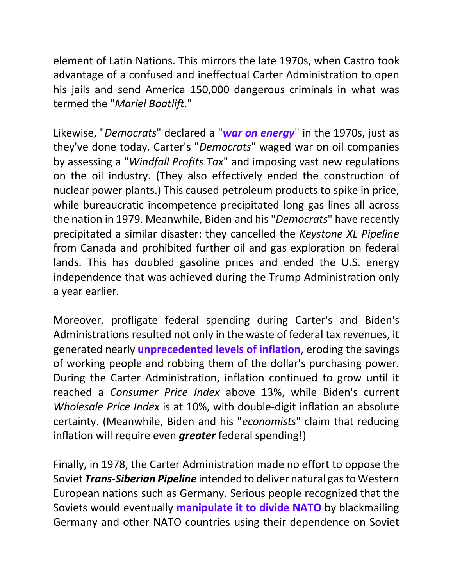element of Latin Nations. This mirrors the late 1970s, when Castro took advantage of a confused and ineffectual Carter Administration to open his jails and send America 150,000 dangerous criminals in what was termed the "*Mariel Boatlift*."

Likewise, "*Democrats*" declared a "*war on energy*" in the 1970s, just as they've done today. Carter's "*Democrats*" waged war on oil companies by assessing a "*Windfall Profits Tax*" and imposing vast new regulations on the oil industry. (They also effectively ended the construction of nuclear power plants.) This caused petroleum products to spike in price, while bureaucratic incompetence precipitated long gas lines all across the nation in 1979. Meanwhile, Biden and his "*Democrats*" have recently precipitated a similar disaster: they cancelled the *Keystone XL Pipeline* from Canada and prohibited further oil and gas exploration on federal lands. This has doubled gasoline prices and ended the U.S. energy independence that was achieved during the Trump Administration only a year earlier.

Moreover, profligate federal spending during Carter's and Biden's Administrations resulted not only in the waste of federal tax revenues, it generated nearly **unprecedented levels of inflation**, eroding the savings of working people and robbing them of the dollar's purchasing power. During the Carter Administration, inflation continued to grow until it reached a *Consumer Price Index* above 13%, while Biden's current *Wholesale Price Index* is at 10%, with double-digit inflation an absolute certainty. (Meanwhile, Biden and his "*economists*" claim that reducing inflation will require even *greater* federal spending!)

Finally, in 1978, the Carter Administration made no effort to oppose the Soviet *Trans-Siberian Pipeline* intended to deliver natural gas to Western European nations such as Germany. Serious people recognized that the Soviets would eventually **manipulate it to divide NATO** by blackmailing Germany and other NATO countries using their dependence on Soviet